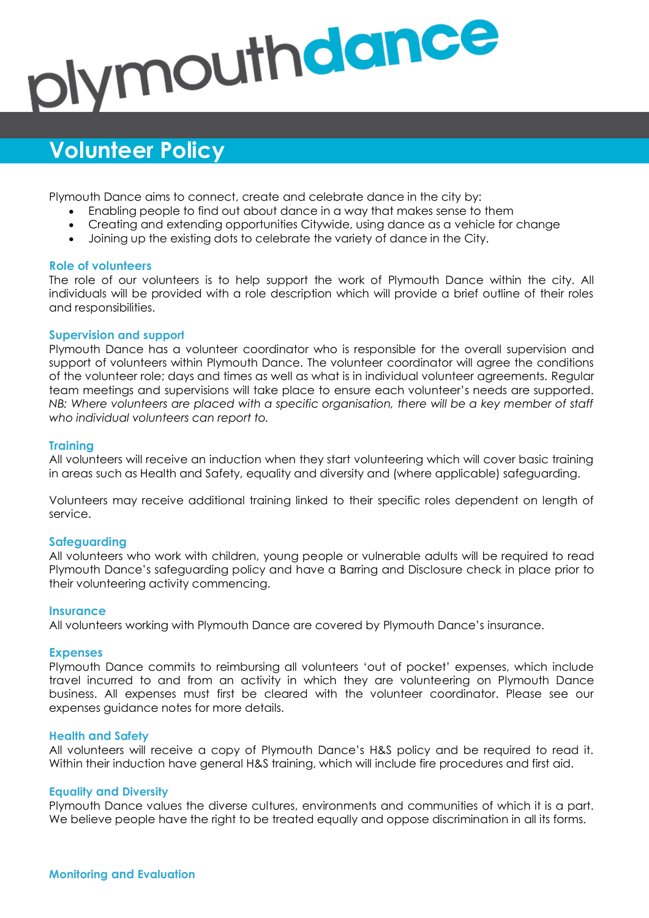# plymouthdance

# **Volunteer Policy**

Plymouth Dance aims to connect, create and celebrate dance in the city by:

- Enabling people to find out about dance in a way that makes sense to them
- Creating and extending opportunities Citywide, using dance as a vehicle for change
- Joining up the existing dots to celebrate the variety of dance in the City.

### **Role of volunteers**

The role of our volunteers is to help support the work of Plymouth Dance within the city. All individuals will be provided with a role description which will provide a brief outline of their roles and responsibilities.

## **Supervision and support**

Plymouth Dance has a volunteer coordinator who is responsible for the overall supervision and support of volunteers within Plymouth Dance. The volunteer coordinator will agree the conditions of the volunteer role; days and times as well as what is in individual volunteer agreements. Regular team meetings and supervisions will take place to ensure each volunteer's needs are supported. *NB: Where volunteers are placed with a specific organisation, there will be a key member of staff who individual volunteers can report to.* 

### **Training**

All volunteers will receive an induction when they start volunteering which will cover basic training in areas such as Health and Safety, equality and diversity and (where applicable) safeguarding.

Volunteers may receive additional training linked to their specific roles dependent on length of service.

### **Safeguarding**

All volunteers who work with children, young people or vulnerable adults will be required to read Plymouth Dance's safeguarding policy and have a Barring and Disclosure check in place prior to their volunteering activity commencing.

### **Insurance**

All volunteers working with Plymouth Dance are covered by Plymouth Dance's insurance.

### **Expenses**

Plymouth Dance commits to reimbursing all volunteers 'out of pocket' expenses, which include travel incurred to and from an activity in which they are volunteering on Plymouth Dance business. All expenses must first be cleared with the volunteer coordinator. Please see our expenses guidance notes for more details.

### **Health and Safety**

All volunteers will receive a copy of Plymouth Dance's H&S policy and be required to read it. Within their induction have general H&S training, which will include fire procedures and first aid.

### **Equality and Diversity**

Plymouth Dance values the diverse cultures, environments and communities of which it is a part. We believe people have the right to be treated equally and oppose discrimination in all its forms.